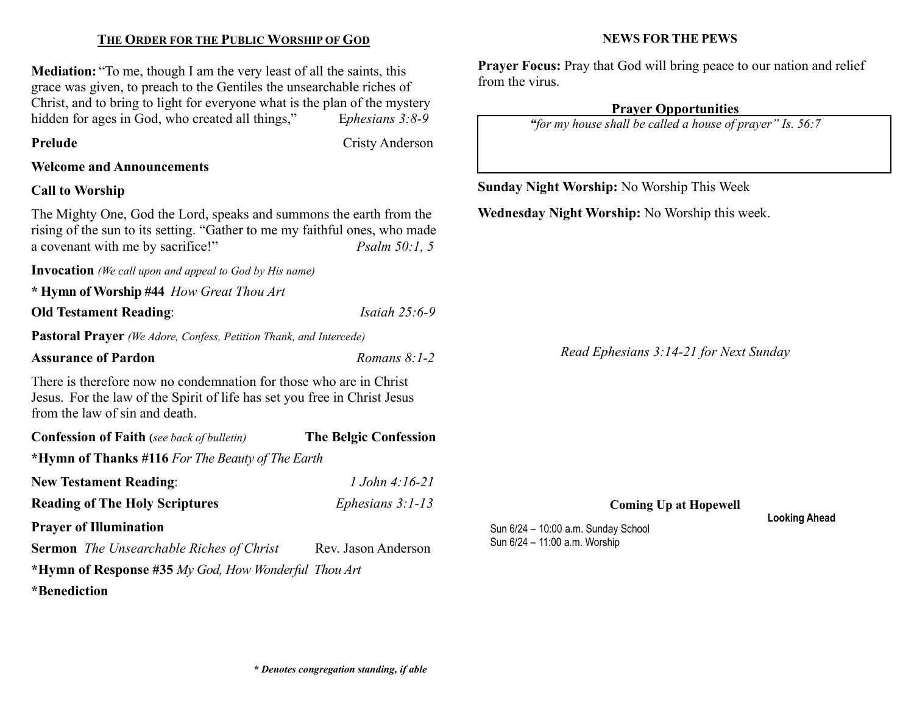# THE ORDER FOR THE PUBLIC WORSHIP OF GOD

Mediation: "To me, though I am the very least of all the saints, this grace was given, to preach to the Gentiles the unsearchable riches of Christ, and to bring to light for everyone what is the plan of the mystery hidden for ages in God, who created all things," Ephesians 3:8-9

Prelude Cristy Anderson

#### Welcome and Announcements

### Call to Worship

The Mighty One, God the Lord, speaks and summons the earth from the rising of the sun to its setting. "Gather to me my faithful ones, who made a covenant with me by sacrifice!" Psalm 50:1, 5

Invocation (We call upon and appeal to God by His name)

\* Hymn of Worship #44 How Great Thou Art

**Old Testament Reading:** *Isaiah 25:6-9* 

Pastoral Prayer (We Adore, Confess, Petition Thank, and Intercede)

#### Assurance of Pardon  $\alpha$   $\beta$ :  $l-2$

There is therefore now no condemnation for those who are in Christ Jesus. For the law of the Spirit of life has set you free in Christ Jesus from the law of sin and death.

| <b>Confession of Faith</b> (see back of bulletin)    | <b>The Belgic Confession</b> |  |
|------------------------------------------------------|------------------------------|--|
| *Hymn of Thanks #116 For The Beauty of The Earth     |                              |  |
| <b>New Testament Reading:</b>                        | $1$ John 4:16-21             |  |
| <b>Reading of The Holy Scriptures</b>                | Ephesians $3:1-13$           |  |
| <b>Prayer of Illumination</b>                        |                              |  |
| <b>Sermon</b> The Unsearchable Riches of Christ      | Rev. Jason Anderson          |  |
| *Hymn of Response #35 My God, How Wonderful Thou Art |                              |  |

\*Benediction

NEWS FOR THE PEWS

Prayer Focus: Pray that God will bring peace to our nation and relief from the virus.

#### Prayer Opportunities

"for my house shall be called a house of prayer" Is. 56:7

Sunday Night Worship: No Worship This Week

Wednesday Night Worship: No Worship this week.

Read Ephesians 3:14-21 for Next Sunday

Coming Up at Hopewell

Sun 6/24 – 10:00 a.m. Sunday School Sun 6/24 – 11:00 a.m. Worship

Looking Ahead